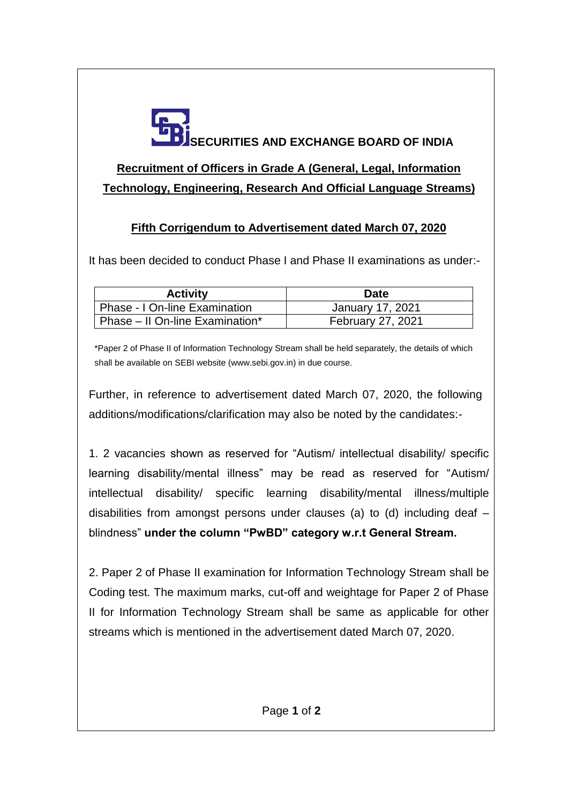

## **Recruitment of Officers in Grade A (General, Legal, Information Technology, Engineering, Research And Official Language Streams)**

## **Fifth Corrigendum to Advertisement dated March 07, 2020**

It has been decided to conduct Phase I and Phase II examinations as under:-

| <b>Activity</b>                 | <b>Date</b>              |
|---------------------------------|--------------------------|
| Phase - I On-line Examination   | January 17, 2021         |
| Phase - II On-line Examination* | <b>February 27, 2021</b> |

\*Paper 2 of Phase II of Information Technology Stream shall be held separately, the details of which shall be available on SEBI website (www.sebi.gov.in) in due course.

Further, in reference to advertisement dated March 07, 2020, the following additions/modifications/clarification may also be noted by the candidates:-

1. 2 vacancies shown as reserved for "Autism/ intellectual disability/ specific learning disability/mental illness" may be read as reserved for "Autism/ intellectual disability/ specific learning disability/mental illness/multiple disabilities from amongst persons under clauses (a) to (d) including deaf – blindness" **under the column "PwBD" category w.r.t General Stream.**

2. Paper 2 of Phase II examination for Information Technology Stream shall be Coding test. The maximum marks, cut-off and weightage for Paper 2 of Phase II for Information Technology Stream shall be same as applicable for other streams which is mentioned in the advertisement dated March 07, 2020.